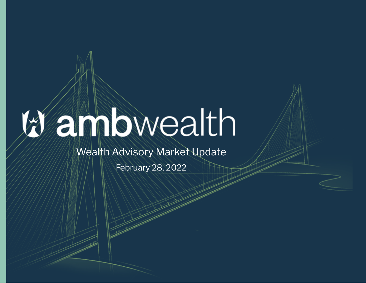# ambwealth

### Wealth Advisory Market Update

February 28, 2022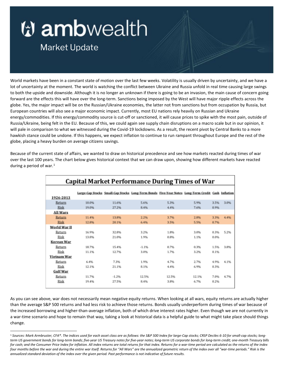## *V* ambwealth

### **Market Update**

World markets have been in a constant state of motion over the last few weeks. Volatility is usually driven by uncertainty, and we have a lot of uncertainty at the moment. The world is watching the conflict between Ukraine and Russia unfold in real time causing large swings to both the upside and downside. Although it is no longer an unknown if there is going to be an invasion, the main cause of concern going forward are the effects this will have over the long-term. Sanctions being imposed by the West will have major ripple effects across the globe. Yes, the major impact will be on the Russian/Ukraine economies, the latter not from sanctions but from occupation by Russia, but European countries will also see a major economic impact. Currently, most EU nations rely heavily on Russian and Ukraine energy/commodities. If this energy/commodity source is cut-off or sanctioned, it will cause prices to spike with the most pain, outside of Russia/Ukraine, being felt in the EU. Because of this, we could again see supply chain disruptions on a macro scale but in our opinion, it will pale in comparison to what we witnessed during the Covid-19 lockdowns. As a result, the recent pivot by Central Banks to a more hawkish stance could be undone. If this happens, we expect inflation to continue to run rampant throughout Europe and the rest of the globe, placing a heavy burden on average citizens savings.

Because of the current state of affairs, we wanted to draw on historical precedence and see how markets reacted during times of war over the last 100 years. The chart below gives historical context that we can draw upon, showing how different markets have reacted during a period of war.<sup>[1](#page-1-0)</sup>

| <b>Capital Market Performance During Times of War</b> |       |         |                                                                                                   |       |       |      |      |  |  |  |
|-------------------------------------------------------|-------|---------|---------------------------------------------------------------------------------------------------|-------|-------|------|------|--|--|--|
| 1926-2013                                             |       |         | Large-Cap Stocks Small-Cap Stocks Long-Term Bonds Five-Year Notes Long-Term Credit Cash Inflation |       |       |      |      |  |  |  |
| Return                                                | 10.0% | 11.6%   | 5.6%                                                                                              | 5.3%  | 5.9%  | 3.5% | 3.0% |  |  |  |
| <b>Risk</b>                                           | 19.0% | 27.2%   | 8.4%                                                                                              | 4.4%  | 7.6%  | 0.9% |      |  |  |  |
| <b>All Wars</b>                                       |       |         |                                                                                                   |       |       |      |      |  |  |  |
| Return                                                | 11.4% | 13.8%   | 2.2%                                                                                              | 3.7%  | 2.8%  | 3.3% | 4.4% |  |  |  |
| <b>Risk</b>                                           | 12.8% | 20.1%   | 6.4%                                                                                              | 3.5%  | 5.5%  | 0.7% |      |  |  |  |
| World War II                                          |       |         |                                                                                                   |       |       |      |      |  |  |  |
| Return                                                | 16.9% | 32.8%   | 3.2%                                                                                              | 1.8%  | 3.0%  | 0.3% | 5.2% |  |  |  |
| Risk                                                  | 13.8% | 21.0%   | 1.9%                                                                                              | 0.8%  | 1.1%  | 0.0% |      |  |  |  |
| Korean War                                            |       |         |                                                                                                   |       |       |      |      |  |  |  |
| Return                                                | 18.7% | 15.4%   | $-1.1%$                                                                                           | 0.7%  | 0.3%  | 1.5% | 3.8% |  |  |  |
| Risk                                                  | 11.1% | 12.7%   | 3.0%                                                                                              | 1.7%  | 3.2%  | 0.1% |      |  |  |  |
| Vietnam War                                           |       |         |                                                                                                   |       |       |      |      |  |  |  |
| Return                                                | 6.4%  | 7.3%    | 1.9%                                                                                              | 4.7%  | 2.7%  | 4.9% | 4.1% |  |  |  |
| Risk                                                  | 12.1% | 21.1%   | 8.1%                                                                                              | 4.4%  | 6.9%  | 0.3% |      |  |  |  |
| <b>Gulf War</b>                                       |       |         |                                                                                                   |       |       |      |      |  |  |  |
| Return                                                | 11.7% | $-1.2%$ | 12.5%                                                                                             | 12.5% | 12.1% | 7.0% | 4.7% |  |  |  |
| Risk                                                  | 19.4% | 27.5%   | 8.4%                                                                                              | 3.8%  | 6.7%  | 0.2% |      |  |  |  |
|                                                       |       |         |                                                                                                   |       |       |      |      |  |  |  |

As you can see above, war does not necessarily mean negative equity returns. When looking at all wars, equity returns are actually higher than the average S&P 500 returns and had less risk to achieve those returns. Bonds usually underperform during times of war because of the increased borrowing and higher-than-average inflation, both of which drive interest rates higher. Even though we are not currently in a war-time scenario and hope to remain that way, taking a look at historical data is a helpful guide to what might take place should things change.

<span id="page-1-0"></span><sup>&</sup>lt;sup>1</sup> Sources: Mark Armbruster, CFA®. The indices used for each asset class are as follows: the S&P 500 Index for large-Cap stocks; CRSP Deciles 6-10 for small-cap stocks; long*term US government bonds for long-term bonds; five-year US Treasury notes for five-year notes; long-term US corporate bonds for long-term credit; one-month Treasury bills for cash; and the Consumer Price Index for inflation. All index returns are total returns for that index. Returns for a war-time period are calculated as the returns of the index*  four months before the war and during the entire war itself. Returns for "All Wars" are the annualized geometric return of the index over all "war-time periods." Risk is the *annualized standard deviation of the index over the given period. Past performance is not indicative of future results.*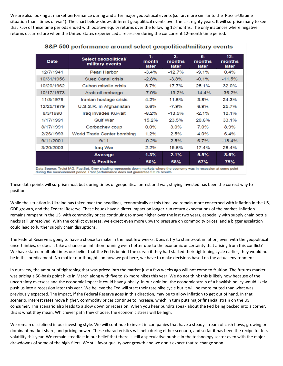We are also looking at market performance during and after major geopolitical events (so far, more similar to the Russia-Ukraine situation than "times of war"). The chart below shows different geopolitical events over the last eighty years. It will surprise many to see that 75% of these time periods ended with positive equity returns over the following 12-months. The only instances where negative returns occurred are when the United States experienced a recession during the concurrent 12-month time period.

| <b>Date</b> | Select geopolitical/<br>military events | $1-$<br>month<br>later | $3-$<br>months<br>later | 6-<br>months<br>later | $12 -$<br>months<br>later |  |
|-------------|-----------------------------------------|------------------------|-------------------------|-----------------------|---------------------------|--|
| 12/7/1941   | <b>Pearl Harbor</b>                     | $-3.4\%$               | $-12.7%$                | $-9.1%$               | 0.4%                      |  |
| 10/31/1956  | <b>Suez Canal crisis</b>                | $-2.8%$                | $-3.8%$                 | $-0.1%$               | $-11.5%$                  |  |
| 10/20/1962  | Cuban missile crisis                    | 8.7%                   | 17.7%                   | 25.1%                 | 32.0%                     |  |
| 10/17/1973  | Arab oil embargo                        | $-7.0\%$               | $-13.2%$                | $-14.4%$              | $-36.2%$                  |  |
| 11/3/1979   | Iranian hostage crisis                  | 4.2%                   | 11.6%                   | 3.8%                  | 24.3%                     |  |
| 12/25/1979  | U.S.S.R. in Afghanistan                 | 5.6%                   | $-7.9%$                 | 6.9%                  | 25.7%                     |  |
| 8/3/1990    | Iraq invades Kuwait                     | $-8.2%$                | $-13.5%$                | $-2.1%$               | 10.1%                     |  |
| 1/17/1991   | <b>Gulf War</b>                         | 15.2%                  | 23.5%                   | 20.6%                 | 33.1%                     |  |
| 8/17/1991   | Gorbachev coup                          | $0.0\%$                | $3.0\%$                 | 7.0%                  | 8.9%                      |  |
| 2/26/1993   | World Trade Center bombing              | 1.2%                   | 2.5%                    | 4.0%                  | 6.4%                      |  |
| 9/11/2001   | 9/11                                    | $-0.2%$                | 2.5%                    | 6.7%                  | $-18.4%$                  |  |
| 3/20/2003   | Iraq War                                | $2.2\%$                | 15.6%                   | 17.4%                 | 28.4%                     |  |
|             | <b>Average</b>                          | 1.3%                   | 2.1%                    | 5.5%                  | 8.6%                      |  |
|             | % Positive                              | 50%                    | <b>58%</b>              | 67%                   | 75%                       |  |

#### S&P 500 performance around select geopolitical/military events

Data Source: Truist IAG, FactSet. Grey shading represents down markets where the economy was in recession at some point during the measurement period. Past performance does not guarantee future results

These data points will surprise most but during times of geopolitical unrest and war, staying invested has been the correct way to position.

While the situation in Ukraine has taken over the headlines, economically at this time, we remain more concerned with inflation in the US, GDP growth, and the Federal Reserve. These issues have a direct impact on longer-run return expectations of the market. Inflation remains rampant in the US, with commodity prices continuing to move higher over the last two years, especially with supply chain bottle necks still unresolved. With the conflict overseas, we expect even more upward pressure on commodity prices, and a bigger escalation could lead to further supply chain disruptions.

The Federal Reserve is going to have a choice to make in the next few weeks. Does it try to stamp-out inflation, even with the geopolitical uncertainties, or does it take a chance on inflation running even hotter due to the economic uncertainty that arising from this conflict? We have stated multiple times our belief that the Fed is behind the curve; if they had started their tightening cycle earlier, they would not be in this predicament. No matter our thoughts on how we got here, we have to make decisions based on the actual environment.

In our view, the amount of tightening that was priced into the market just a few weeks ago will not come to fruition. The futures market was pricing a 50-basis point hike in March along with five to six more hikes this year. We do not think this is likely now because of the uncertainty overseas and the economic impact it could have globally. In our opinion, the economic strain of a hawkish policy would likely push us into a recession later this year. We believe the Fed will start their rate hike cycle but it will be more muted than what was previously expected. The impact, if the Federal Reserve goes in this direction, may be to allow inflation to get out of hand. In that scenario, interest rates move higher, commodity prices continue to increase, which in turn puts major financial strain on the US consumer. This scenario also leads to a slow down or recession. When you hear pundits speak about the Fed being backed into a corner, this is what they mean. Whichever path they choose, the economic stress will be high.

We remain disciplined in our investing style. We will continue to invest in companies that have a steady stream of cash flows, growing or dominant market share, and pricing power. These characteristics will help during either scenario, and so far it has been the recipe for less volatility this year. We remain steadfast in our belief that there is still a speculative bubble in the technology sector even with the major drawdowns of some of the high-fliers. We still favor quality over growth and we don't expect that to change soon.